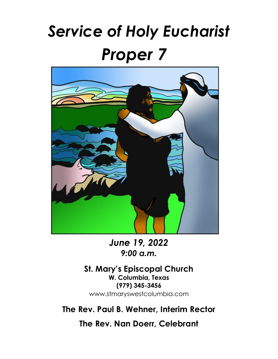# *Service of Holy Eucharist Proper 7*



*June 19, 2022 9:00 a.m.*

**St. Mary's Episcopal Church W. Columbia, Texas (979) 345-3456** www.stmaryswestcolumbia.com

**The Rev. Paul B. Wehner, Interim Rector**

**The Rev. Nan Doerr, Celebrant**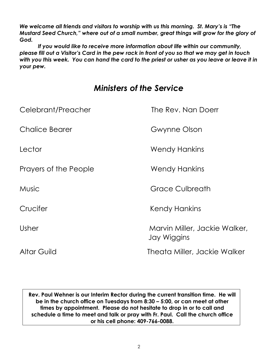*We welcome all friends and visitors to worship with us this morning. St. Mary's is "The Mustard Seed Church," where out of a small number, great things will grow for the glory of God.*

 *If you would like to receive more information about life within our community, please fill out a Visitor's Card in the pew rack in front of you so that we may get in touch with you this week. You can hand the card to the priest or usher as you leave or leave it in your pew.*

# *Ministers of the Service*

| Celebrant/Preacher    | The Rev. Nan Doerr                           |
|-----------------------|----------------------------------------------|
| <b>Chalice Bearer</b> | <b>Gwynne Olson</b>                          |
| Lector                | <b>Wendy Hankins</b>                         |
| Prayers of the People | <b>Wendy Hankins</b>                         |
| <b>Music</b>          | <b>Grace Culbreath</b>                       |
| Crucifer              | <b>Kendy Hankins</b>                         |
| Usher                 | Marvin Miller, Jackie Walker,<br>Jay Wiggins |
| <b>Altar Guild</b>    | Theata Miller, Jackie Walker                 |

**Rev. Paul Wehner is our Interim Rector during the current transition time. He will be in the church office on Tuesdays from 8:30 – 5:00, or can meet at other times by appointment. Please do not hesitate to drop in or to call and schedule a time to meet and talk or pray with Fr. Paul. Call the church office or his cell phone: 409-766-0088.**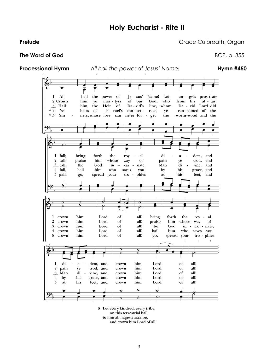# **Holy Eucharist - Rite II**

#### Prelude **Prelude Grace Culbreath, Organ**

**The Word of God BCP, p. 355** 

**Processional Hymn** *All hail the power of Jesus' Name!* **<b>Hymn #450** 



on this terrestrial ball, to him all majesty ascribe,

and crown him Lord of all!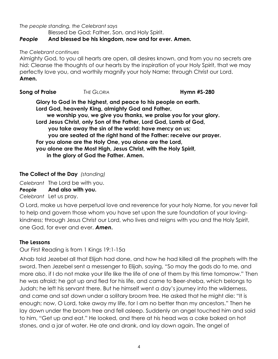#### *The people standing, the Celebrant says*

Blessed be God: Father, Son, and Holy Spirit.

#### *People* **And blessed be his kingdom, now and for ever. Amen.**

#### *The Celebrant continues*

Almighty God, to you all hearts are open, all desires known, and from you no secrets are hid: Cleanse the thoughts of our hearts by the inspiration of your Holy Spirit, that we may perfectly love you, and worthily magnify your holy Name; through Christ our Lord. **Amen.**

| <b>Song of Praise</b> | THE GLORIA                                                                                                                                                                                                                                                                                                                                                                                                                                               | <b>Hymn #S-280</b> |
|-----------------------|----------------------------------------------------------------------------------------------------------------------------------------------------------------------------------------------------------------------------------------------------------------------------------------------------------------------------------------------------------------------------------------------------------------------------------------------------------|--------------------|
|                       | Glory to God in the highest, and peace to his people on earth.<br>Lord God, heavenly King, almighty God and Father,<br>we worship you, we give you thanks, we praise you for your glory.<br>Lord Jesus Christ, only Son of the Father, Lord God, Lamb of God,<br>you take away the sin of the world: have mercy on us;<br>you are seated at the right hand of the Father: receive our prayer.<br>For you alone are the Holy One, you alone are the Lord, |                    |
|                       | you alone are the Most High, Jesus Christ, with the Holy Spirit,<br>in the glory of God the Father. Amen.                                                                                                                                                                                                                                                                                                                                                |                    |

#### **The Collect of the Day** *(standing)*

*Celebrant* The Lord be with you. *People* **And also with you.** *Celebrant* Let us pray.

O Lord, make us have perpetual love and reverence for your holy Name, for you never fail to help and govern those whom you have set upon the sure foundation of your lovingkindness; through Jesus Christ our Lord, who lives and reigns with you and the Holy Spirit, one God, for ever and ever. *Amen***.**

#### **The Lessons**

Our First Reading is from 1 Kings 19:1-15a

Ahab told Jezebel all that Elijah had done, and how he had killed all the prophets with the sword. Then Jezebel sent a messenger to Elijah, saying, "So may the gods do to me, and more also, if I do not make your life like the life of one of them by this time tomorrow." Then he was afraid; he got up and fled for his life, and came to Beer-sheba, which belongs to Judah; he left his servant there. But he himself went a day's journey into the wilderness, and came and sat down under a solitary broom tree. He asked that he might die: "It is enough; now, O Lord, take away my life, for I am no better than my ancestors." Then he lay down under the broom tree and fell asleep. Suddenly an angel touched him and said to him, "Get up and eat." He looked, and there at his head was a cake baked on hot stones, and a jar of water. He ate and drank, and lay down again. The angel of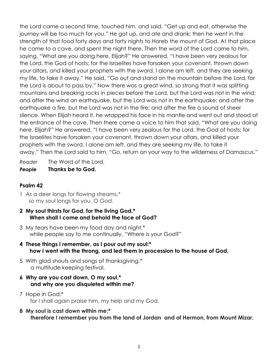the Lord came a second time, touched him, and said, "Get up and eat, otherwise the journey will be too much for you." He got up, and ate and drank; then he went in the strength of that food forty days and forty nights to Horeb the mount of God. At that place he came to a cave, and spent the night there. Then the word of the Lord came to him, saying, "What are you doing here, Elijah?" He answered, "I have been very zealous for the Lord, the God of hosts; for the Israelites have forsaken your covenant, thrown down your altars, and killed your prophets with the sword. I alone am left, and they are seeking my life, to take it away." He said, "Go out and stand on the mountain before the Lord, for the Lord is about to pass by." Now there was a great wind, so strong that it was splitting mountains and breaking rocks in pieces before the Lord, but the Lord was not in the wind; and after the wind an earthquake, but the Lord was not in the earthquake; and after the earthquake a fire, but the Lord was not in the fire; and after the fire a sound of sheer silence. When Elijah heard it, he wrapped his face in his mantle and went out and stood at the entrance of the cave. Then there came a voice to him that said, "What are you doing here, Elijah?" He answered, "I have been very zealous for the Lord, the God of hosts; for the Israelites have forsaken your covenant, thrown down your altars, and killed your prophets with the sword. I alone am left, and they are seeking my life, to take it away." Then the Lord said to him, "Go, return on your way to the wilderness of Damascus."

*Reader* The Word of the Lord.

*People* **Thanks be to God.**

## **Psalm 42**

- 1 As a deer longs for flowing streams,\* so my soul longs for you, O God.
- **2 My soul thirsts for God, for the living God.\* When shall I come and behold the face of God?**
- 3 My tears have been my food day and night,\* while people say to me continually, "Where is your God?"
- **4 These things I remember, as I pour out my soul:\* how I went with the throng, and led them in procession to the house of God,**
- 5 With glad shouts and songs of thanksgiving,\* a multitude keeping festival.
- **6 Why are you cast down, O my soul,\* and why are you disquieted within me?**
- 7 Hope in God;\* for I shall again praise him, my help and my God.
- **8 My soul is cast down within me;\* therefore I remember you from the land of Jordan and of Hermon, from Mount Mizar.**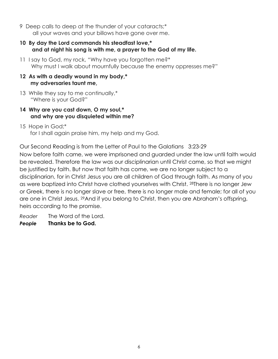- 9 Deep calls to deep at the thunder of your cataracts;\* all your waves and your billows have gone over me.
- **10 By day the Lord commands his steadfast love,\* and at night his song is with me, a prayer to the God of my life.**
- 11 I say to God, my rock, "Why have you forgotten me?\* Why must I walk about mournfully because the enemy oppresses me?"
- **12 As with a deadly wound in my body,\* my adversaries taunt me,**
- 13 While they say to me continually,\* "Where is your God?"
- **14 Why are you cast down, O my soul,\* and why are you disquieted within me?**
- 15 Hope in God;\* for I shall again praise him, my help and my God.

Our Second Reading is from the Letter of Paul to the Galatians 3:23-29 Now before faith came, we were imprisoned and guarded under the law until faith would be revealed. Therefore the law was our disciplinarian until Christ came, so that we might be justified by faith. But now that faith has come, we are no longer subject to a disciplinarian, for in Christ Jesus you are all children of God through faith. As many of you as were baptized into Christ have clothed yourselves with Christ. <sup>28</sup>There is no longer Jew or Greek, there is no longer slave or free, there is no longer male and female; for all of you are one in Christ Jesus. <sup>29</sup>And if you belong to Christ, then you are Abraham's offspring, heirs according to the promise.

*Reader* The Word of the Lord.

*People* **Thanks be to God.**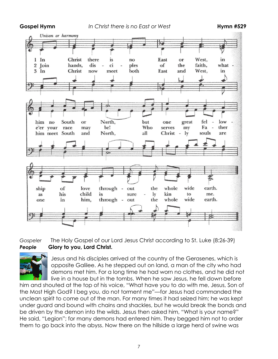**Gospel Hymn** *In Christ there is no East or West* **<b>Hymn #529** 



*Gospeler* The Holy Gospel of our Lord Jesus Christ according to St. Luke (8:26-39) *People* **Glory to you, Lord Christ.**



Jesus and his disciples arrived at the country of the Gerasenes, which is opposite Galilee. As he stepped out on land, a man of the city who had demons met him. For a long time he had worn no clothes, and he did not live in a house but in the tombs. When he saw Jesus, he fell down before

him and shouted at the top of his voice, "What have you to do with me, Jesus, Son of the Most High God? I beg you, do not torment me"—for Jesus had commanded the unclean spirit to come out of the man. For many times it had seized him; he was kept under guard and bound with chains and shackles, but he would break the bonds and be driven by the demon into the wilds. Jesus then asked him, "What is your name?" He said, "Legion"; for many demons had entered him. They begged him not to order them to go back into the abyss. Now there on the hillside a large herd of swine was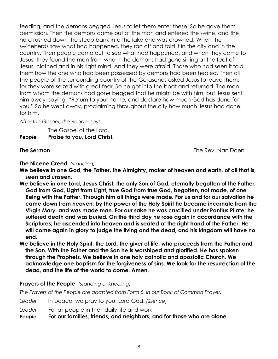feeding; and the demons begged Jesus to let them enter these. So he gave them permission. Then the demons came out of the man and entered the swine, and the herd rushed down the steep bank into the lake and was drowned. When the swineherds saw what had happened, they ran off and told it in the city and in the country. Then people came out to see what had happened, and when they came to Jesus, they found the man from whom the demons had gone sitting at the feet of Jesus, clothed and in his right mind. And they were afraid. Those who had seen it told them how the one who had been possessed by demons had been healed. Then all the people of the surrounding country of the Gerasenes asked Jesus to leave them; for they were seized with great fear. So he got into the boat and returned. The man from whom the demons had gone begged that he might be with him; but Jesus sent him away, saying, "Return to your home, and declare how much God has done for you." So he went away, proclaiming throughout the city how much Jesus had done for him.

#### *After the Gospel, the Reader says*

The Gospel of the Lord. *People* **Praise to you, Lord Christ.**

**The Sermon** The Rev. Nan Doerr

#### **The Nicene Creed** *(standing)*

**We believe in one God, the Father, the Almighty, maker of heaven and earth, of all that is, seen and unseen.**

- **We believe in one Lord, Jesus Christ, the only Son of God, eternally begotten of the Father, God from God, Light from Light, true God from true God, begotten, not made, of one Being with the Father. Through him all things were made. For us and for our salvation he came down from heaven: by the power of the Holy Spirit he became incarnate from the Virgin Mary, and was made man. For our sake he was crucified under Pontius Pilate; he suffered death and was buried. On the third day he rose again in accordance with the Scriptures; he ascended into heaven and is seated at the right hand of the Father. He will come again in glory to judge the living and the dead, and his kingdom will have no end.**
- **We believe in the Holy Spirit, the Lord, the giver of life, who proceeds from the Father and the Son. With the Father and the Son he is worshiped and glorified. He has spoken through the Prophets. We believe in one holy catholic and apostolic Church. We acknowledge one baptism for the forgiveness of sins. We look for the resurrection of the dead, and the life of the world to come. Amen.**

#### **Prayers of the People** *(standing or kneeling)*

*The Prayers of the People are adapted from Form 6, in our Book of Common Prayer.*

- *Leader* In peace, we pray to you, Lord God. *(Silence)*
- Leader For all people in their daily life and work;
- *People* **For our families, friends, and neighbors, and for those who are alone.**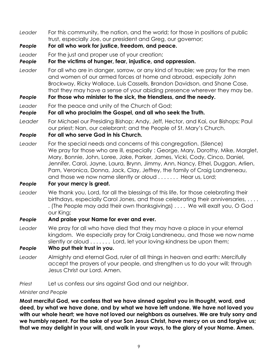*Leader* For this community, the nation, and the world; for those in positions of public trust, especially Joe, our president and Greg, our governor;

### *People* **For all who work for justice, freedom, and peace.**

Leader For the just and proper use of your creation;

*People* **For the victims of hunger, fear, injustice, and oppression.**

*Leader* For all who are in danger, sorrow, or any kind of trouble; we pray for the men and women of our armed forces at home and abroad, especially John Brockway, Ricky Wallace, Luis Cassells, Brandon Davidson, and Shane Case, that they may have a sense of your abiding presence wherever they may be.

#### *People* **For those who minister to the sick, the friendless, and the needy.**

Leader For the peace and unity of the Church of God;

*People* **For all who proclaim the Gospel, and all who seek the Truth.**

*Leader* For Michael our Presiding Bishop; Andy, Jeff, Hector, and Kai, our Bishops; Paul our priest; Nan, our celebrant; and the People of St. Mary's Church.

#### *People* **For all who serve God in his Church.**

*Leader* For the special needs and concerns of this congregation. (Silence) We pray for those who are ill, especially : George, Mary, Dorothy, Mike, Marglet, Mary, Bonnie, John, Loree, Jake, Parker, James, Vicki, Cody, Cinco, Daniel, Jennifer, Carol, Jayne, Laura, Brynn, Jimmy, Ann, Nancy, Ethel, Duggan, Arlien, Pam, Veronica, Donna, Jack, Clay, Jeffrey, the family of Craig Landreneau, and those we now name silently or aloud . . . . . . . Hear us, Lord;

*People* **For your mercy is great.**

*Leader* We thank you, Lord, for all the blessings of this life, for those celebrating their birthdays, especially Carol Jones, and those celebrating their anniversaries, . . . . . (The People may add their own thanksgivings) . . . . We will exalt you, O God our King;

#### *People* **And praise your Name for ever and ever.**

*Leader* We pray for all who have died that they may have a place in your eternal kingdom. We especially pray for Craig Landreneau, and those we now name silently or aloud . . . . . . . Lord, let your loving-kindness be upon them;

*People* **Who put their trust in you.**

*Leader* Almighty and eternal God, ruler of all things in heaven and earth: Mercifully accept the prayers of your people, and strengthen us to do your will; through Jesus Christ our Lord. Amen.

*Priest* Let us confess our sins against God and our neighbor.

#### *Minister and People*

**Most merciful God, we confess that we have sinned against you in thought, word, and deed, by what we have done, and by what we have left undone. We have not loved you with our whole heart; we have not loved our neighbors as ourselves. We are truly sorry and we humbly repent. For the sake of your Son Jesus Christ, have mercy on us and forgive us; that we may delight in your will, and walk in your ways, to the glory of your Name. Amen.**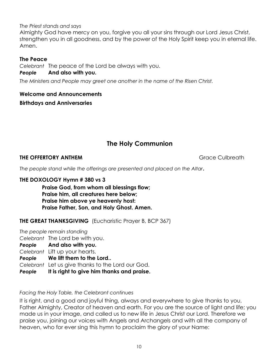*The Priest stands and says* 

Almighty God have mercy on you, forgive you all your sins through our Lord Jesus Christ, strengthen you in all goodness, and by the power of the Holy Spirit keep you in eternal life. Amen.

#### **The Peace**

*Celebrant* The peace of the Lord be always with you.

*People* **And also with you.**

*The Ministers and People may greet one another in the name of the Risen Christ.*

#### **Welcome and Announcements**

**Birthdays and Anniversaries**

# **The Holy Communion**

#### **THE OFFERTORY ANTHEM Grace Culbreath**

*The people stand while the offerings are presented and placed on the Altar***.**

#### **THE DOXOLOGY Hymn # 380 vs 3**

**Praise God, from whom all blessings flow; Praise him, all creatures here below; Praise him above ye heavenly host: Praise Father, Son, and Holy Ghost. Amen.**

**THE GREAT THANKSGIVING** (Eucharistic Prayer B, BCP 367)

*The people remain standing Celebrant* The Lord be with you.

*People* **And also with you.**

*Celebrant* Lift up your hearts.

*People* **We lift them to the Lord..**

*Celebrant* Let us give thanks to the Lord our God.

*People* **It is right to give him thanks and praise.**

#### *Facing the Holy Table, the Celebrant continues*

It is right, and a good and joyful thing, always and everywhere to give thanks to you, Father Almighty, Creator of heaven and earth. For you are the source of light and life; you made us in your image, and called us to new life in Jesus Christ our Lord. Therefore we praise you, joining our voices with Angels and Archangels and with all the company of heaven, who for ever sing this hymn to proclaim the glory of your Name: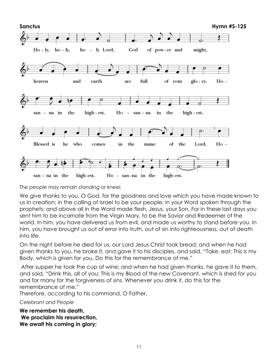

*The people may remain standing or kneel.*

We give thanks to you, O God, for the goodness and love which you have made known to us in creation; in the calling of Israel to be your people; in your Word spoken through the prophets; and above all in the Word made flesh, Jesus, your Son. For in these last days you sent him to be incarnate from the Virgin Mary, to be the Savior and Redeemer of the world. In him, you have delivered us from evil, and made us worthy to stand before you. In him, you have brought us out of error into truth, out of sin into righteousness, out of death into life.

On the night before he died for us, our Lord Jesus Christ took bread; and when he had given thanks to you, he broke it, and gave it to his disciples, and said, "Take, eat: This is my Body, which is given for you. Do this for the remembrance of me."

After supper he took the cup of wine; and when he had given thanks, he gave it to them, and said, "Drink this, all of you: This is my Blood of the new Covenant, which is shed for you and for many for the forgiveness of sins. Whenever you drink it, do this for the remembrance of me."

Therefore, according to his command, O Father,

*Celebrant and People*

**We remember his death, We proclaim his resurrection, We await his coming in glory;**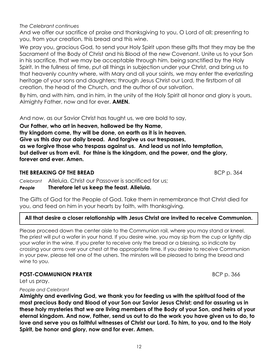## creation, the head of the Church, and the author of our salvation.

you, from your creation, this bread and this wine.

*The Celebrant continues*

By him, and with him, and in him, in the unity of the Holy Spirit all honor and glory is yours, Almighty Father, now and for ever. **AMEN.**

And we offer our sacrifice of praise and thanksgiving to you, O Lord of all; presenting to

We pray you, gracious God, to send your Holy Spirit upon these gifts that they may be the Sacrament of the Body of Christ and his Blood of the new Covenant. Unite us to your Son in his sacrifice, that we may be acceptable through him, being sanctified by the Holy Spirit. In the fullness of time, put all things in subjection under your Christ, and bring us to that heavenly country where, with Mary and all your saints, we may enter the everlasting heritage of your sons and daughters; through Jesus Christ our Lord, the firstborn of all

And now, as our Savior Christ has taught us, we are bold to say,

**Our Father, who art in heaven, hallowed be thy Name, thy kingdom come, thy will be done, on earth as it is in heaven. Give us this day our daily bread. And forgive us our trespasses, as we forgive those who trespass against us. And lead us not into temptation, but deliver us from evil. For thine is the kingdom, and the power, and the glory, forever and ever. Amen.**

#### **THE BREAKING OF THE BREAD** BCP p. 364

*Celebrant* Alleluia. Christ our Passover is sacrificed for us; *People* **Therefore let us keep the feast. Alleluia.**

The Gifts of God for the People of God. Take them in remembrance that Christ died for you, and feed on him in your hearts by faith, with thanksgiving.

#### **All that desire a closer relationship with Jesus Christ are invited to receive Communion.**

Please proceed down the center aisle to the Communion rail, where you may stand or kneel. The priest will put a wafer in your hand. If you desire wine, you may sip from the cup or lightly dip your wafer in the wine. If you prefer to receive only the bread or a blessing, so indicate by crossing your arms over your chest at the appropriate time. If you desire to receive Communion in your pew, please tell one of the ushers. The minsters will be pleased to bring the bread and wine to you.

#### **POST-COMMUNION PRAYER** BCP p. 366

Let us pray.

#### *People and Celebrant*

**Almighty and everliving God, we thank you for feeding us with the spiritual food of the most precious Body and Blood of your Son our Savior Jesus Christ; and for assuring us in these holy mysteries that we are living members of the Body of your Son, and heirs of your eternal kingdom. And now, Father, send us out to do the work you have given us to do, to love and serve you as faithful witnesses of Christ our Lord. To him, to you, and to the Holy Spirit, be honor and glory, now and for ever. Amen.**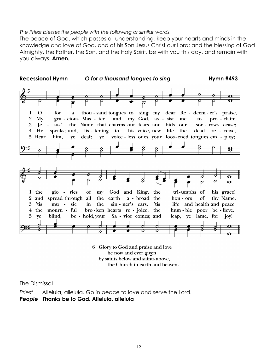#### *The Priest blesses the people with the following or similar words,*

The peace of God, which passes all understanding, keep your hearts and minds in the knowledge and love of God, and of his Son Jesus Christ our Lord; and the blessing of God Almighty, the Father, the Son, and the Holy Spirit, be with you this day, and remain with you always. **Amen.**



6 Glory to God and praise and love be now and ever given by saints below and saints above, the Church in earth and heaven.

The Dismissal

*Priest* Alleluia, alleluia. Go in peace to love and serve the Lord. *People* **Thanks be to God. Alleluia, alleluia**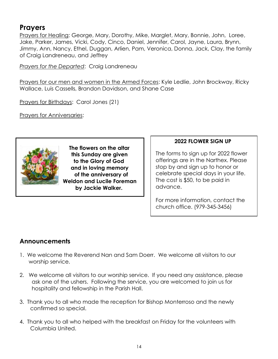# **Prayers**

Prayers for Healing: George, Mary, Dorothy, Mike, Marglet, Mary, Bonnie, John, Loree, Jake, Parker, James, Vicki, Cody, Cinco, Daniel, Jennifer, Carol, Jayne, Laura, Brynn, Jimmy, Ann, Nancy, Ethel, Duggan, Arlien, Pam, Veronica, Donna, Jack, Clay, the family of Craig Landreneau, and Jeffrey

*Prayers for the Departed*: Craig Landreneau

Prayers for our men and women in the Armed Forces: Kyle Ledlie, John Brockway, Ricky Wallace, Luis Cassells, Brandon Davidson, and Shane Case

Prayers for Birthdays: Carol Jones (21)

Prayers for Anniversaries:



 **The flowers on the altar this Sunday are given to the Glory of God and in loving memory of the anniversary of Weldon and Lucile Foreman by Jackie Walker.**

### **2022 FLOWER SIGN UP**

The forms to sign up for 2022 flower offerings are in the Narthex. Please stop by and sign up to honor or celebrate special days in your life. The cost is \$50, to be paid in advance.

For more information, contact the church office. (979-345-3456)

# **Announcements**

- 1. We welcome the Reverend Nan and Sam Doerr. We welcome all visitors to our worship service.
- 2. We welcome all visitors to our worship service. If you need any assistance, please ask one of the ushers. Following the service, you are welcomed to join us for hospitality and fellowship in the Parish Hall.
- 3. Thank you to all who made the reception for Bishop Monterroso and the newly confirmed so special.
- 4. Thank you to all who helped with the breakfast on Friday for the volunteers with Columbia United.